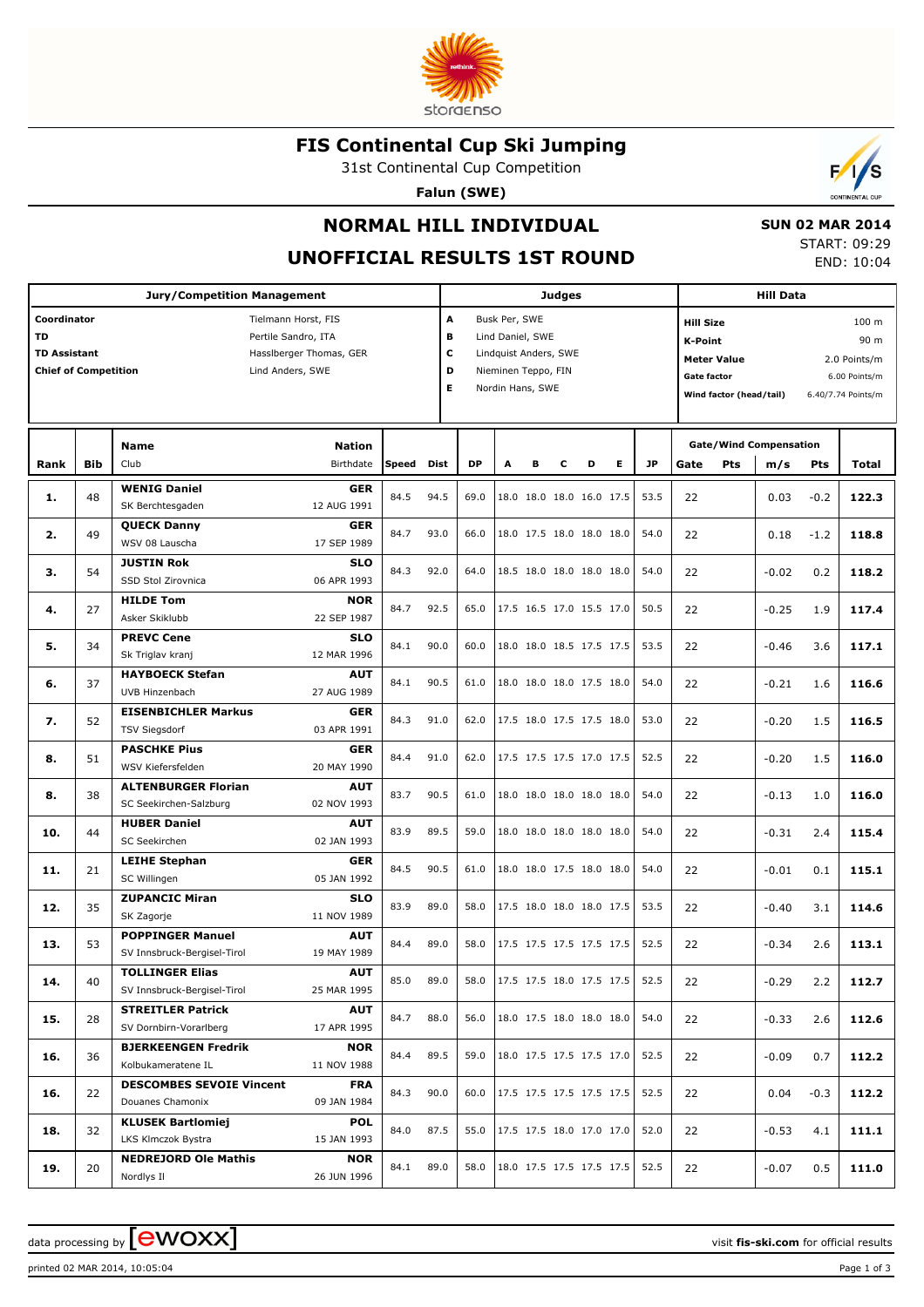

# **FIS Continental Cup Ski Jumping**

31st Continental Cup Competition

**Falun (SWE)**



**UNOFFICIAL RESULTS 1ST ROUND**

 **SUN 02 MAR 2014**

START: 09:29 END: 10:04

 $\overline{\phantom{a}}$ 

| <b>Jury/Competition Management</b>       |                                                                                                                          |                                                        |                                         |       |             |      |                                                                                                                                |   | <b>Judges</b> |                          | <b>Hill Data</b> |                                              |                                                                                                                                                                                   |        |       |
|------------------------------------------|--------------------------------------------------------------------------------------------------------------------------|--------------------------------------------------------|-----------------------------------------|-------|-------------|------|--------------------------------------------------------------------------------------------------------------------------------|---|---------------|--------------------------|------------------|----------------------------------------------|-----------------------------------------------------------------------------------------------------------------------------------------------------------------------------------|--------|-------|
| Coordinator<br>TD<br><b>TD Assistant</b> | Tielmann Horst, FIS<br>Pertile Sandro, ITA<br>Hassiberger Thomas, GER<br><b>Chief of Competition</b><br>Lind Anders, SWE |                                                        |                                         |       |             |      | A<br>Busk Per, SWE<br>в<br>Lind Daniel, SWE<br>c<br>Lindquist Anders, SWE<br>D<br>Nieminen Teppo, FIN<br>Е<br>Nordin Hans, SWE |   |               |                          |                  |                                              | 100 m<br><b>Hill Size</b><br>90 m<br><b>K-Point</b><br><b>Meter Value</b><br>2.0 Points/m<br><b>Gate factor</b><br>6.00 Points/m<br>Wind factor (head/tail)<br>6.40/7.74 Points/m |        |       |
| Rank                                     | <b>Bib</b>                                                                                                               | <b>Name</b><br>Club                                    | <b>Nation</b><br>Birthdate              | Speed | <b>Dist</b> | DP   | A                                                                                                                              | в | c             | Е<br>D                   | <b>JP</b>        | <b>Gate/Wind Compensation</b><br>Pts<br>Gate | m/s                                                                                                                                                                               | Pts    | Total |
| 1.                                       | 48                                                                                                                       | <b>WENIG Daniel</b><br>SK Berchtesgaden                | <b>GER</b><br>12 AUG 1991               | 84.5  | 94.5        | 69.0 |                                                                                                                                |   |               | 18.0 18.0 18.0 16.0 17.5 | 53.5             | 22                                           | 0.03                                                                                                                                                                              | $-0.2$ | 122.3 |
| 2.                                       | 49                                                                                                                       | <b>QUECK Danny</b><br>WSV 08 Lauscha                   | <b>GER</b><br>17 SEP 1989               | 84.7  | 93.0        | 66.0 |                                                                                                                                |   |               | 18.0 17.5 18.0 18.0 18.0 | 54.0             | 22                                           | 0.18                                                                                                                                                                              | $-1.2$ | 118.8 |
| з.                                       | 54                                                                                                                       | <b>JUSTIN Rok</b><br>SSD Stol Zirovnica                | <b>SLO</b><br>06 APR 1993               | 84.3  | 92.0        | 64.0 |                                                                                                                                |   |               | 18.5 18.0 18.0 18.0 18.0 | 54.0             | 22                                           | $-0.02$                                                                                                                                                                           | 0.2    | 118.2 |
| 4.                                       | 27                                                                                                                       | <b>HILDE Tom</b><br>Asker Skiklubb                     | <b>NOR</b><br>22 SEP 1987               | 84.7  | 92.5        | 65.0 |                                                                                                                                |   |               | 17.5 16.5 17.0 15.5 17.0 | 50.5             | 22                                           | $-0.25$                                                                                                                                                                           | 1.9    | 117.4 |
| 5.                                       | 34                                                                                                                       | <b>PREVC Cene</b><br>Sk Triglav kranj                  | <b>SLO</b><br>12 MAR 1996               | 84.1  | 90.0        | 60.0 |                                                                                                                                |   |               | 18.0 18.0 18.5 17.5 17.5 | 53.5             | 22                                           | $-0.46$                                                                                                                                                                           | 3.6    | 117.1 |
| 6.                                       | 37                                                                                                                       | <b>HAYBOECK Stefan</b><br>UVB Hinzenbach               | <b>AUT</b><br>27 AUG 1989               | 84.1  | 90.5        | 61.0 |                                                                                                                                |   |               | 18.0 18.0 18.0 17.5 18.0 | 54.0             | 22                                           | $-0.21$                                                                                                                                                                           | 1.6    | 116.6 |
| 7.                                       | 52                                                                                                                       | <b>EISENBICHLER Markus</b><br><b>TSV Siegsdorf</b>     | <b>GER</b><br>03 APR 1991               | 84.3  | 91.0        | 62.0 |                                                                                                                                |   |               | 17.5 18.0 17.5 17.5 18.0 | 53.0             | 22                                           | $-0.20$                                                                                                                                                                           | 1.5    | 116.5 |
| 8.                                       | 51                                                                                                                       | <b>PASCHKE Pius</b><br>WSV Kiefersfelden               | <b>GER</b><br>20 MAY 1990               | 84.4  | 91.0        | 62.0 |                                                                                                                                |   |               | 17.5 17.5 17.5 17.0 17.5 | 52.5             | 22                                           | $-0.20$                                                                                                                                                                           | 1.5    | 116.0 |
| 8.                                       | 38                                                                                                                       | <b>ALTENBURGER Florian</b><br>SC Seekirchen-Salzburg   | <b>AUT</b><br>02 NOV 1993               | 83.7  | 90.5        | 61.0 |                                                                                                                                |   |               | 18.0 18.0 18.0 18.0 18.0 | 54.0             | 22                                           | $-0.13$                                                                                                                                                                           | 1.0    | 116.0 |
| 10.                                      | 44                                                                                                                       | <b>HUBER Daniel</b><br>SC Seekirchen                   | <b>AUT</b><br>02 JAN 1993               | 83.9  | 89.5        | 59.0 |                                                                                                                                |   |               | 18.0 18.0 18.0 18.0 18.0 | 54.0             | 22                                           | $-0.31$                                                                                                                                                                           | 2.4    | 115.4 |
| 11.                                      | 21                                                                                                                       | <b>LEIHE Stephan</b><br>SC Willingen                   | <b>GER</b><br>05 JAN 1992               | 84.5  | 90.5        | 61.0 |                                                                                                                                |   |               | 18.0 18.0 17.5 18.0 18.0 | 54.0             | 22                                           | $-0.01$                                                                                                                                                                           | 0.1    | 115.1 |
| 12.                                      | 35                                                                                                                       | <b>ZUPANCIC Miran</b><br>SK Zagorje                    | <b>SLO</b><br>11 NOV 1989               | 83.9  | 89.0        | 58.0 |                                                                                                                                |   |               | 17.5 18.0 18.0 18.0 17.5 | 53.5             | 22                                           | $-0.40$                                                                                                                                                                           | 3.1    | 114.6 |
| 13.                                      | 53                                                                                                                       | <b>POPPINGER Manuel</b><br>SV Innsbruck-Bergisel-Tirol | <b>AUT</b><br>19 MAY 1989<br><b>AUT</b> | 84.4  | 89.0        | 58.0 |                                                                                                                                |   |               | 17.5 17.5 17.5 17.5 17.5 | 52.5             | 22                                           | $-0.34$                                                                                                                                                                           | 2.6    | 113.1 |
| 14.                                      | 40                                                                                                                       | <b>TOLLINGER Elias</b><br>SV Innsbruck-Bergisel-Tirol  | 25 MAR 1995                             | 85.0  | 89.0        | 58.0 |                                                                                                                                |   |               | 17.5 17.5 18.0 17.5 17.5 | 52.5             | 22                                           | $-0.29$                                                                                                                                                                           | 2.2    | 112.7 |
| 15.                                      | 28                                                                                                                       | <b>STREITLER Patrick</b><br>SV Dornbirn-Vorarlberg     | AUT<br>17 APR 1995                      | 84.7  | 88.0        | 56.0 |                                                                                                                                |   |               | 18.0 17.5 18.0 18.0 18.0 | 54.0             | 22                                           | $-0.33$                                                                                                                                                                           | 2.6    | 112.6 |
| 16.                                      | 36                                                                                                                       | <b>BJERKEENGEN Fredrik</b><br>Kolbukameratene IL       | <b>NOR</b><br>11 NOV 1988               | 84.4  | 89.5        | 59.0 |                                                                                                                                |   |               | 18.0 17.5 17.5 17.5 17.0 | 52.5             | 22                                           | $-0.09$                                                                                                                                                                           | 0.7    | 112.2 |
| 16.                                      | 22                                                                                                                       | <b>DESCOMBES SEVOIE Vincent</b><br>Douanes Chamonix    | <b>FRA</b><br>09 JAN 1984               | 84.3  | 90.0        | 60.0 |                                                                                                                                |   |               | 17.5 17.5 17.5 17.5 17.5 | 52.5             | 22                                           | 0.04                                                                                                                                                                              | $-0.3$ | 112.2 |
| 18.                                      | 32                                                                                                                       | <b>KLUSEK Bartlomiej</b><br>LKS Klmczok Bystra         | POL<br>15 JAN 1993                      | 84.0  | 87.5        | 55.0 |                                                                                                                                |   |               | 17.5 17.5 18.0 17.0 17.0 | 52.0             | 22                                           | $-0.53$                                                                                                                                                                           | 4.1    | 111.1 |
| 19.                                      | 20                                                                                                                       | <b>NEDREJORD Ole Mathis</b><br>Nordlys Il              | <b>NOR</b><br>26 JUN 1996               | 84.1  | 89.0        | 58.0 |                                                                                                                                |   |               | 18.0 17.5 17.5 17.5 17.5 | 52.5             | 22                                           | $-0.07$                                                                                                                                                                           | 0.5    | 111.0 |

data processing by **CWOXX**  $\blacksquare$ 

printed 02 MAR 2014, 10:05:04 Page 1 of 3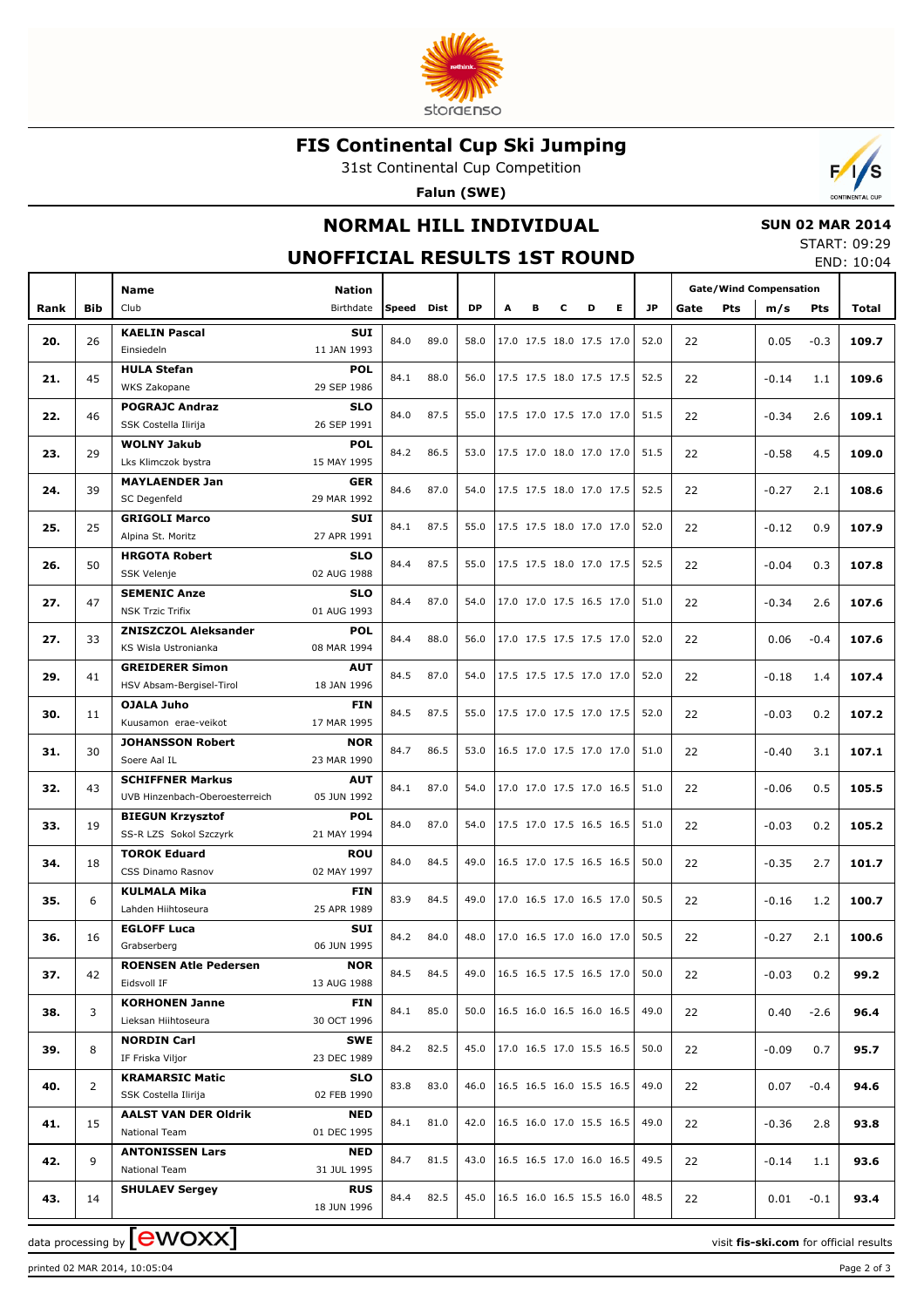

# **FIS Continental Cup Ski Jumping**

31st Continental Cup Competition

**Falun (SWE)**



# **NORMAL HILL INDIVIDUAL**

## **SUN 02 MAR 2014**

#### **UNOFFICIAL RESULTS 1ST ROUND**

START: 09:29 END: 10:04

|      |            | <b>Name</b>                                   | <b>Nation</b>             |            |      |           |   |                          |   |                          |   |           | <b>Gate/Wind Compensation</b> |         |            |       |
|------|------------|-----------------------------------------------|---------------------------|------------|------|-----------|---|--------------------------|---|--------------------------|---|-----------|-------------------------------|---------|------------|-------|
| Rank | <b>Bib</b> | Club                                          | Birthdate                 | Speed Dist |      | <b>DP</b> | A | в                        | c | D                        | Е | <b>JP</b> | Pts<br>Gate                   | m/s     | <b>Pts</b> | Total |
|      |            | <b>KAELIN Pascal</b>                          | <b>SUI</b>                |            |      |           |   |                          |   |                          |   |           |                               |         |            |       |
| 20.  | 26         | Einsiedeln                                    | 11 JAN 1993               | 84.0       | 89.0 | 58.0      |   |                          |   | 17.0 17.5 18.0 17.5 17.0 |   | 52.0      | 22                            | 0.05    | $-0.3$     | 109.7 |
|      |            | <b>HULA Stefan</b>                            | <b>POL</b>                | 84.1       | 88.0 | 56.0      |   |                          |   | 17.5 17.5 18.0 17.5 17.5 |   | 52.5      |                               |         |            |       |
| 21.  | 45         | WKS Zakopane                                  | 29 SEP 1986               |            |      |           |   |                          |   |                          |   |           | 22                            | $-0.14$ | 1.1        | 109.6 |
| 22.  | 46         | <b>POGRAJC Andraz</b>                         | <b>SLO</b>                | 84.0       | 87.5 | 55.0      |   | 17.5 17.0 17.5 17.0 17.0 |   |                          |   | 51.5      | 22                            | $-0.34$ | 2.6        | 109.1 |
|      |            | SSK Costella Ilirija                          | 26 SEP 1991               |            |      |           |   |                          |   |                          |   |           |                               |         |            |       |
| 23.  | 29         | <b>WOLNY Jakub</b>                            | <b>POL</b>                | 84.2       | 86.5 | 53.0      |   |                          |   | 17.5 17.0 18.0 17.0 17.0 |   | 51.5      | 22                            | $-0.58$ | 4.5        | 109.0 |
|      |            | Lks Klimczok bystra                           | 15 MAY 1995               |            |      |           |   |                          |   |                          |   |           |                               |         |            |       |
| 24.  | 39         | <b>MAYLAENDER Jan</b>                         | <b>GER</b>                | 84.6       | 87.0 | 54.0      |   |                          |   | 17.5 17.5 18.0 17.0 17.5 |   | 52.5      | 22                            | $-0.27$ | 2.1        | 108.6 |
|      |            | SC Degenfeld                                  | 29 MAR 1992               |            |      |           |   |                          |   |                          |   |           |                               |         |            |       |
| 25.  | 25         | <b>GRIGOLI Marco</b><br>Alpina St. Moritz     | <b>SUI</b><br>27 APR 1991 | 84.1       | 87.5 | 55.0      |   |                          |   | 17.5 17.5 18.0 17.0 17.0 |   | 52.0      | 22                            | $-0.12$ | 0.9        | 107.9 |
|      |            | <b>HRGOTA Robert</b>                          | <b>SLO</b>                |            |      |           |   |                          |   |                          |   |           |                               |         |            |       |
| 26.  | 50         | <b>SSK Velenje</b>                            | 02 AUG 1988               | 84.4       | 87.5 | 55.0      |   |                          |   | 17.5 17.5 18.0 17.0 17.5 |   | 52.5      | 22                            | $-0.04$ | 0.3        | 107.8 |
|      |            | <b>SEMENIC Anze</b>                           | <b>SLO</b>                |            |      |           |   |                          |   |                          |   |           |                               |         |            |       |
| 27.  | 47         | <b>NSK Trzic Trifix</b>                       | 01 AUG 1993               | 84.4       | 87.0 | 54.0      |   |                          |   | 17.0 17.0 17.5 16.5 17.0 |   | 51.0      | 22                            | $-0.34$ | 2.6        | 107.6 |
|      |            | <b>ZNISZCZOL Aleksander</b>                   | <b>POL</b>                |            |      |           |   |                          |   |                          |   |           |                               |         |            |       |
| 27.  | 33         | KS Wisla Ustronianka                          | 08 MAR 1994               | 84.4       | 88.0 | 56.0      |   |                          |   | 17.0 17.5 17.5 17.5 17.0 |   | 52.0      | 22                            | 0.06    | $-0.4$     | 107.6 |
|      |            | <b>GREIDERER Simon</b>                        | <b>AUT</b>                |            |      |           |   |                          |   |                          |   |           |                               |         |            |       |
| 29.  | 41         | HSV Absam-Bergisel-Tirol                      | 18 JAN 1996               | 84.5       | 87.0 | 54.0      |   |                          |   | 17.5 17.5 17.5 17.0 17.0 |   | 52.0      | 22                            | $-0.18$ | 1.4        | 107.4 |
| 30.  | 11         | <b>OJALA Juho</b>                             | <b>FIN</b>                | 84.5       | 87.5 | 55.0      |   |                          |   | 17.5 17.0 17.5 17.0 17.5 |   | 52.0      | 22                            | $-0.03$ | 0.2        | 107.2 |
|      |            | Kuusamon erae-veikot                          | 17 MAR 1995               |            |      |           |   |                          |   |                          |   |           |                               |         |            |       |
| 31.  | 30         | <b>JOHANSSON Robert</b>                       | <b>NOR</b>                | 84.7       | 86.5 | 53.0      |   |                          |   | 16.5 17.0 17.5 17.0 17.0 |   | 51.0      | 22                            | $-0.40$ | 3.1        | 107.1 |
|      |            | Soere Aal IL                                  | 23 MAR 1990               |            |      |           |   |                          |   |                          |   |           |                               |         |            |       |
| 32.  | 43         | <b>SCHIFFNER Markus</b>                       | <b>AUT</b>                | 84.1       | 87.0 | 54.0      |   |                          |   | 17.0 17.0 17.5 17.0 16.5 |   | 51.0      | 22                            | $-0.06$ | 0.5        | 105.5 |
|      |            | UVB Hinzenbach-Oberoesterreich                | 05 JUN 1992               |            |      |           |   |                          |   |                          |   |           |                               |         |            |       |
| 33.  | 19         | <b>BIEGUN Krzysztof</b>                       | <b>POL</b><br>21 MAY 1994 | 84.0       | 87.0 | 54.0      |   |                          |   | 17.5 17.0 17.5 16.5 16.5 |   | 51.0      | 22                            | $-0.03$ | 0.2        | 105.2 |
|      |            | SS-R LZS Sokol Szczyrk<br><b>TOROK Eduard</b> | <b>ROU</b>                |            |      |           |   |                          |   |                          |   |           |                               |         |            |       |
| 34.  | 18         | CSS Dinamo Rasnov                             | 02 MAY 1997               | 84.0       | 84.5 | 49.0      |   |                          |   | 16.5 17.0 17.5 16.5 16.5 |   | 50.0      | 22                            | $-0.35$ | 2.7        | 101.7 |
|      |            | <b>KULMALA Mika</b>                           | <b>FIN</b>                |            |      |           |   |                          |   |                          |   |           |                               |         |            |       |
| 35.  | 6          | Lahden Hiihtoseura                            | 25 APR 1989               | 83.9       | 84.5 | 49.0      |   |                          |   | 17.0 16.5 17.0 16.5 17.0 |   | 50.5      | 22                            | $-0.16$ | 1.2        | 100.7 |
|      |            | <b>EGLOFF Luca</b>                            | <b>SUI</b>                |            |      |           |   |                          |   |                          |   |           |                               |         |            |       |
| 36.  | 16         | Grabserberg                                   | 06 JUN 1995               | 84.2       | 84.0 | 48.0      |   |                          |   | 17.0 16.5 17.0 16.0 17.0 |   | 50.5      | 22                            | $-0.27$ | 2.1        | 100.6 |
| 37.  | 42         | <b>ROENSEN Atle Pedersen</b>                  | <b>NOR</b>                | 84.5       | 84.5 | 49.0      |   |                          |   | 16.5 16.5 17.5 16.5 17.0 |   | 50.0      | 22                            | $-0.03$ |            | 99.2  |
|      |            | Eidsvoll IF                                   | 13 AUG 1988               |            |      |           |   |                          |   |                          |   |           |                               |         | 0.2        |       |
| 38.  | 3          | <b>KORHONEN Janne</b>                         | <b>FIN</b>                | 84.1       | 85.0 | 50.0      |   |                          |   | 16.5 16.0 16.5 16.0 16.5 |   | 49.0      | 22                            | 0.40    | $-2.6$     | 96.4  |
|      |            | Lieksan Hiihtoseura                           | 30 OCT 1996               |            |      |           |   |                          |   |                          |   |           |                               |         |            |       |
| 39.  | 8          | <b>NORDIN Carl</b>                            | <b>SWE</b>                | 84.2       | 82.5 | 45.0      |   |                          |   | 17.0 16.5 17.0 15.5 16.5 |   | 50.0      | 22                            | $-0.09$ | 0.7        | 95.7  |
|      |            | IF Friska Viljor                              | 23 DEC 1989               |            |      |           |   |                          |   |                          |   |           |                               |         |            |       |
| 40.  | 2          | <b>KRAMARSIC Matic</b>                        | <b>SLO</b>                | 83.8       | 83.0 | 46.0      |   |                          |   | 16.5 16.5 16.0 15.5 16.5 |   | 49.0      | 22                            | 0.07    | $-0.4$     | 94.6  |
|      |            | SSK Costella Ilirija                          | 02 FEB 1990               |            |      |           |   |                          |   |                          |   |           |                               |         |            |       |
| 41.  | 15         | <b>AALST VAN DER Oldrik</b><br>National Team  | NED<br>01 DEC 1995        | 84.1       | 81.0 | 42.0      |   |                          |   | 16.5 16.0 17.0 15.5 16.5 |   | 49.0      | 22                            | $-0.36$ | 2.8        | 93.8  |
|      |            | <b>ANTONISSEN Lars</b>                        | NED                       |            |      |           |   |                          |   |                          |   |           |                               |         |            |       |
| 42.  | 9          | National Team                                 | 31 JUL 1995               | 84.7       | 81.5 | 43.0      |   |                          |   | 16.5 16.5 17.0 16.0 16.5 |   | 49.5      | 22                            | $-0.14$ | 1.1        | 93.6  |
|      |            | <b>SHULAEV Sergey</b>                         | <b>RUS</b>                |            |      |           |   |                          |   |                          |   |           |                               |         |            |       |
| 43.  | 14         |                                               | 18 JUN 1996               | 84.4       | 82.5 | 45.0      |   |                          |   | 16.5 16.0 16.5 15.5 16.0 |   | 48.5      | 22                            | 0.01    | $-0.1$     | 93.4  |
|      |            | г.                                            |                           |            |      |           |   |                          |   |                          |   |           |                               |         |            |       |

printed 02 MAR 2014, 10:05:04 Page 2 of 3

data processing by **LEWOXX State of the COV** control of the set of the visit **fis-ski.com** for official results